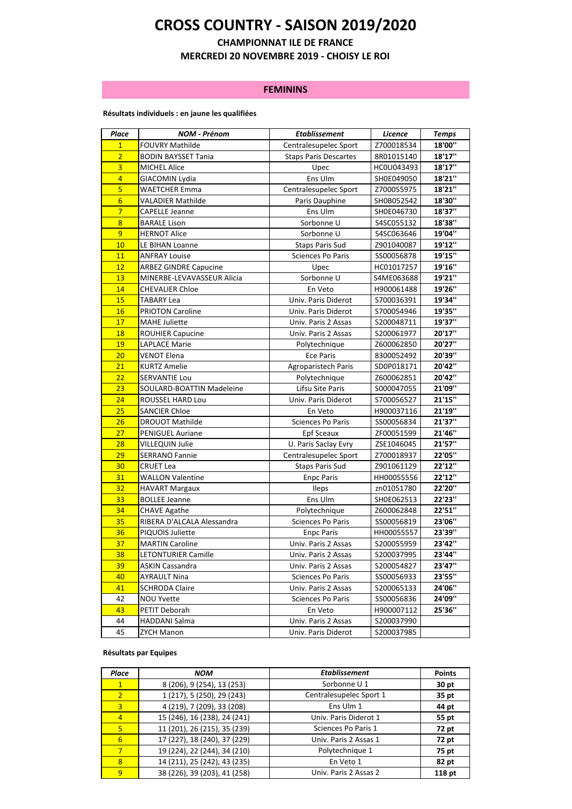# **CROSS COUNTRY - SAISON 2019/2020**

**CHAMPIONNAT ILE DE FRANCE**

**MERCREDI 20 NOVEMBRE 2019 - CHOISY LE ROI**

#### **FEMININS**

**Résultats individuels : en jaune les qualifiées**

| Place                   | <b>NOM - Prénom</b>          | <b>Etablissement</b>              | Licence    | <b>Temps</b> |
|-------------------------|------------------------------|-----------------------------------|------------|--------------|
| $\overline{1}$          | <b>FOUVRY Mathilde</b>       | Centralesupelec Sport             | Z700018534 | 18'00"       |
| $\overline{2}$          | <b>BODIN BAYSSET Tania</b>   | <b>Staps Paris Descartes</b>      | 8R01015140 | 18'17"       |
| $\overline{3}$          | <b>MICHEL Alice</b>          | Upec                              | HC0U043493 | 18'17"       |
| $\overline{4}$          | GIACOMIN Lydia               | Ens Ulm                           | SH0E049050 | 18'21"       |
| $\overline{\mathbf{5}}$ | <b>WAETCHER Emma</b>         | Centralesupelec Sport             | Z700055975 | 18'21"       |
| $6\overline{6}$         | VALADIER Mathilde            | Paris Dauphine                    | SH0B052542 | 18'30"       |
| $\overline{7}$          | <b>CAPELLE Jeanne</b>        | Ens Ulm                           | SH0E046730 | 18'37"       |
| $\overline{8}$          | <b>BARALE Lison</b>          | Sorbonne U                        | S4SC055132 | 18'38"       |
| 9                       | <b>HERNOT Alice</b>          | Sorbonne U                        | S4SC063646 | 19'04"       |
| 10                      | LE BIHAN Loanne              | <b>Staps Paris Sud</b>            | Z901040087 | 19'12"       |
| 11                      | <b>ANFRAY Louise</b>         | Sciences Po Paris                 | SS00056878 | 19'15"       |
| 12                      | <b>ARBEZ GINDRE Capucine</b> | Upec                              | HC01017257 | 19'16"       |
| 13                      | MINERBE-LEVAVASSEUR Alicia   | Sorbonne U                        | S4ME063688 | 19'21"       |
| 14                      | <b>CHEVALIER Chloe</b>       | En Veto                           | H900061488 | 19'26"       |
| 15                      | <b>TABARY Lea</b>            | Univ. Paris Diderot               | S700036391 | 19'34"       |
| 16                      | <b>PRIOTON Caroline</b>      | Univ. Paris Diderot               | S700054946 | 19'35"       |
| 17                      | <b>MAHE Juliette</b>         | Univ. Paris 2 Assas               | S200048711 | 19'37"       |
| 18                      | <b>ROUHIER Capucine</b>      | Univ. Paris 2 Assas               | S200061977 | 20'17"       |
| 19                      | <b>LAPLACE Marie</b>         | Polytechnique                     | Z600062850 | 20'27"       |
| 20                      | <b>VENOT Elena</b>           | <b>Ece Paris</b>                  | 8300052492 | 20'39"       |
| 21                      | <b>KURTZ Amelie</b>          | Agroparistech Paris               | SD0P018171 | 20'42"       |
| 22                      | <b>SERVANTIE Lou</b>         | Polytechnique                     | Z600062851 | 20'42"       |
| 23                      | SOULARD-BOATTIN Madeleine    | Lifsu Site Paris                  | S000047055 | 21'09"       |
| 24                      | ROUSSEL HARD Lou             | Univ. Paris Diderot               | S700056527 | 21'15"       |
| 25                      | <b>SANCIER Chloe</b>         | En Veto                           | H900037116 | 21'19"       |
| 26                      | <b>DROUOT Mathilde</b>       | Sciences Po Paris                 | SS00056834 | 21'37"       |
| 27                      | <b>PENIGUEL Auriane</b>      | <b>Epf Sceaux</b>                 | ZF00051599 | 21'46"       |
| 28                      | VILLEQUIN Julie              | U. Paris Saclay Evry              | ZSE1046045 | 21'57"       |
| 29                      | <b>SERRANO Fannie</b>        | Centralesupelec Sport             | Z700018937 | 22'05"       |
| 30                      | CRUET Lea                    | <b>Staps Paris Sud</b>            | Z901061129 | 22'12"       |
| 31                      | <b>WALLON Valentine</b>      | <b>Enpc Paris</b>                 | HH00055556 | 22'12"       |
| 32                      | <b>HAVART Margaux</b>        | Ileps                             | zn01051780 | 22'20"       |
| 33                      | <b>BOLLEE Jeanne</b>         | Ens Ulm                           | SH0E062513 | 22'23"       |
| 34                      | <b>CHAVE Agathe</b>          | Polytechnique                     | Z600062848 | 22'51"       |
| 35                      | RIBERA D'ALCALA Alessandra   | Sciences Po Paris                 | SS00056819 | 23'06"       |
| 36                      | PIQUOIS Juliette             | <b>Enpc Paris</b>                 | HH00055557 | 23'39"       |
| 37                      | <b>MARTIN Caroline</b>       | Univ. Paris 2 Assas               | S200055959 | 23'42"       |
| 38                      | <b>LETONTURIER Camille</b>   | Univ. Paris 2 Assas               | S200037995 | 23'44"       |
| 39                      | <b>ASKIN Cassandra</b>       | Univ. Paris 2 Assas               | S200054827 | 23'47"       |
| 40                      | <b>AYRAULT Nina</b>          | Sciences Po Paris                 | SS00056933 | 23'55"       |
| 41                      | <b>SCHRODA Claire</b>        | S200065133<br>Univ. Paris 2 Assas |            | 24'06"       |
| 42                      | <b>NOU Yvette</b>            | Sciences Po Paris<br>SS00056836   |            | 24'09"       |
| 43                      | PETIT Deborah                | H900007112<br>En Veto             |            | 25'36"       |
| 44                      | HADDANI Salma                | Univ. Paris 2 Assas               | S200037990 |              |
| 45                      | <b>ZYCH Manon</b>            | Univ. Paris Diderot               | S200037985 |              |

#### **Résultats par Equipes**

| Place                   | NOM                          | <b>Etablissement</b>    | <b>Points</b> |
|-------------------------|------------------------------|-------------------------|---------------|
| $\mathbf{1}$            | 8 (206), 9 (254), 13 (253)   | Sorbonne U 1            | 30 pt         |
| $\overline{2}$          | 1 (217), 5 (250), 29 (243)   | Centralesupelec Sport 1 | 35 pt         |
| $\overline{3}$          | 4 (219), 7 (209), 33 (208)   | Ens Ulm 1               | 44 pt         |
| $\overline{4}$          | 15 (246), 16 (238), 24 (241) | Univ. Paris Diderot 1   | 55 pt         |
| 5                       | 11 (201), 26 (215), 35 (239) | Sciences Po Paris 1     | 72 pt         |
| $6\overline{6}$         | 17 (227), 18 (240), 37 (229) | Univ. Paris 2 Assas 1   | 72 pt         |
| 7                       | 19 (224), 22 (244), 34 (210) | Polytechnique 1         | 75 pt         |
| $\overline{\mathbf{8}}$ | 14 (211), 25 (242), 43 (235) | En Veto 1               | 82 pt         |
| 9                       | 38 (226), 39 (203), 41 (258) | Univ. Paris 2 Assas 2   | 118 pt        |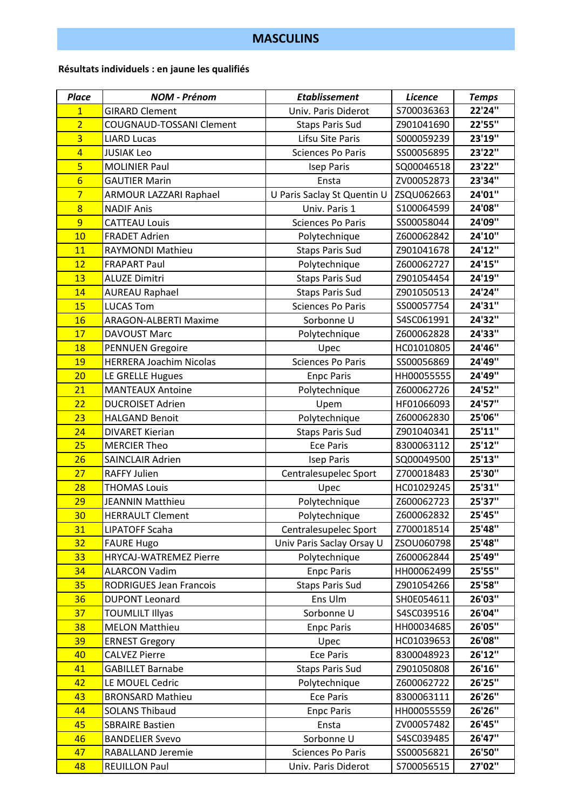## **MASCULINS**

### **Résultats individuels : en jaune les qualifiés**

| <b>Place</b>    | <b>NOM - Prénom</b>             | <b>Etablissement</b>                | Licence              | <b>Temps</b> |
|-----------------|---------------------------------|-------------------------------------|----------------------|--------------|
| $\overline{1}$  | <b>GIRARD Clement</b>           | Univ. Paris Diderot                 | S700036363           | 22'24"       |
| $\overline{2}$  | <b>COUGNAUD-TOSSANI Clement</b> | <b>Staps Paris Sud</b>              | Z901041690           | 22'55"       |
| $\overline{3}$  | <b>LIARD Lucas</b>              | Lifsu Site Paris                    | S000059239           | 23'19"       |
| $\overline{4}$  | <b>JUSIAK Leo</b>               | <b>Sciences Po Paris</b>            | SS00056895           | 23'22"       |
| $\overline{5}$  | <b>MOLINIER Paul</b>            | <b>Isep Paris</b>                   | SQ00046518           | 23'22"       |
| $6\overline{6}$ | <b>GAUTIER Marin</b>            | Ensta                               | ZV00052873           | 23'34"       |
| $\overline{7}$  | ARMOUR LAZZARI Raphael          | U Paris Saclay St Quentin U         | ZSQU062663           | 24'01"       |
| $\overline{8}$  | <b>NADIF Anis</b>               | Univ. Paris 1                       | S100064599           | 24'08"       |
| $\overline{9}$  | <b>CATTEAU Louis</b>            | <b>Sciences Po Paris</b>            | SS00058044           | 24'09"       |
| 10              | <b>FRADET Adrien</b>            | Polytechnique                       | Z600062842           | 24'10"       |
| 11              | RAYMONDI Mathieu                | <b>Staps Paris Sud</b>              | Z901041678           | 24'12"       |
| 12              | <b>FRAPART Paul</b>             | Polytechnique                       | Z600062727           | 24'15"       |
| 13              | <b>ALUZE Dimitri</b>            | <b>Staps Paris Sud</b>              | Z901054454           | 24'19"       |
| 14              | <b>AUREAU Raphael</b>           | <b>Staps Paris Sud</b>              | Z901050513           | 24'24"       |
| 15              | <b>LUCAS Tom</b>                | <b>Sciences Po Paris</b>            | SS00057754           | 24'31"       |
| 16              | <b>ARAGON-ALBERTI Maxime</b>    | Sorbonne U                          | S4SC061991           | 24'32"       |
| 17              | <b>DAVOUST Marc</b>             | Polytechnique                       | Z600062828           | 24'33"       |
| 18              | <b>PENNUEN Gregoire</b>         | Upec                                | HC01010805           | 24'46"       |
| 19              | <b>HERRERA Joachim Nicolas</b>  | <b>Sciences Po Paris</b>            | SS00056869           | 24'49"       |
| 20              | LE GRELLE Hugues                | <b>Enpc Paris</b>                   | HH00055555           | 24'49"       |
| 21              | <b>MANTEAUX Antoine</b>         | Polytechnique                       | Z600062726           | 24'52"       |
| 22              | <b>DUCROISET Adrien</b>         | Upem                                | HF01066093           | 24'57"       |
| 23              | <b>HALGAND Benoit</b>           | Polytechnique                       | Z600062830           | 25'06"       |
| 24              | <b>DIVARET Kierian</b>          | <b>Staps Paris Sud</b>              | Z901040341           | 25'11"       |
| 25              | <b>MERCIER Theo</b>             | <b>Ece Paris</b>                    | 8300063112           | 25'12"       |
| 26              | <b>SAINCLAIR Adrien</b>         | SQ00049500<br><b>Isep Paris</b>     |                      | 25'13"       |
| 27              | <b>RAFFY Julien</b>             | Z700018483<br>Centralesupelec Sport |                      | 25'30"       |
| 28              | <b>THOMAS Louis</b>             | HC01029245<br>Upec                  |                      | 25'31"       |
| 29              | <b>JEANNIN Matthieu</b>         | Polytechnique                       | Z600062723           | 25'37"       |
| 30              | <b>HERRAULT Clement</b>         | Polytechnique                       | Z600062832           | 25'45"       |
| 31              | <b>LIPATOFF Scaha</b>           | Centralesupelec Sport               | Z700018514           | 25'48"       |
| 32              | <b>FAURE Hugo</b>               | Univ Paris Saclay Orsay U           | ZSOU060798           | 25'48"       |
| 33              | <b>HRYCAJ-WATREMEZ Pierre</b>   | Polytechnique                       | Z600062844           | 25'49"       |
| 34              | <b>ALARCON Vadim</b>            | <b>Enpc Paris</b>                   | HH00062499           | 25'55"       |
| 35              | <b>RODRIGUES Jean Francois</b>  | <b>Staps Paris Sud</b>              | Z901054266           | 25'58"       |
| 36              | <b>DUPONT Leonard</b>           | Ens Ulm                             | SH0E054611           | 26'03"       |
| 37              | <b>TOUMLILT Illyas</b>          | Sorbonne U                          | S4SC039516           | 26'04"       |
| 38              | <b>MELON Matthieu</b>           | <b>Enpc Paris</b>                   | HH00034685           | 26'05"       |
| 39              | <b>ERNEST Gregory</b>           | Upec                                | HC01039653           | 26'08"       |
| 40              | <b>CALVEZ Pierre</b>            | <b>Ece Paris</b>                    | 8300048923           | 26'12"       |
| 41              | <b>GABILLET Barnabe</b>         | <b>Staps Paris Sud</b>              | Z901050808           | 26'16"       |
| 42              | LE MOUEL Cedric                 | Polytechnique                       | Z600062722           | 26'25"       |
| 43              | <b>BRONSARD Mathieu</b>         | <b>Ece Paris</b>                    | 8300063111           | 26'26"       |
| 44              | <b>SOLANS Thibaud</b>           | <b>Enpc Paris</b>                   | HH00055559           | 26'26"       |
| 45              | <b>SBRAIRE Bastien</b>          | Ensta                               | ZV00057482<br>26'45" |              |
| 46              | <b>BANDELIER Svevo</b>          | Sorbonne U                          | S4SC039485           | 26'47"       |
| 47              | RABALLAND Jeremie               | <b>Sciences Po Paris</b>            | SS00056821           | 26'50"       |
| 48              | <b>REUILLON Paul</b>            | Univ. Paris Diderot                 | S700056515           | 27'02"       |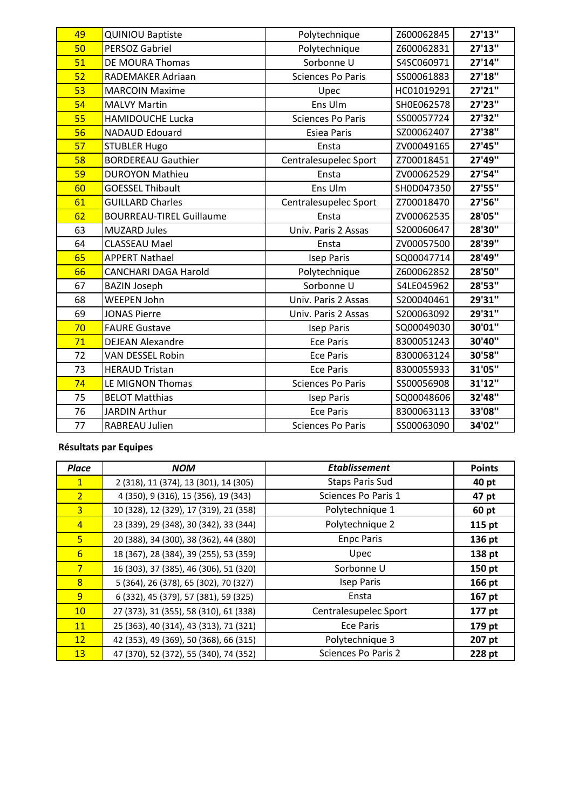| 49 | <b>QUINIOU Baptiste</b>         | Polytechnique            | Z600062845 | 27'13"  |
|----|---------------------------------|--------------------------|------------|---------|
| 50 | PERSOZ Gabriel                  | Polytechnique            | Z600062831 | 27'13"  |
| 51 | <b>DE MOURA Thomas</b>          | Sorbonne U               | S4SC060971 | 27'14"  |
| 52 | RADEMAKER Adriaan               | <b>Sciences Po Paris</b> | SS00061883 | 27'18"  |
| 53 | <b>MARCOIN Maxime</b>           | Upec                     | HC01019291 | 27'21"  |
| 54 | <b>MALVY Martin</b>             | Ens Ulm                  | SH0E062578 | 27'23"  |
| 55 | <b>HAMIDOUCHE Lucka</b>         | <b>Sciences Po Paris</b> | SS00057724 | 27'32"  |
| 56 | <b>NADAUD Edouard</b>           | <b>Esiea Paris</b>       | SZ00062407 | 27'38"  |
| 57 | <b>STUBLER Hugo</b>             | Ensta                    | ZV00049165 | 27'45"  |
| 58 | <b>BORDEREAU Gauthier</b>       | Centralesupelec Sport    | Z700018451 | 27'49"  |
| 59 | <b>DUROYON Mathieu</b>          | Ensta                    | ZV00062529 | 27'54'' |
| 60 | <b>GOESSEL Thibault</b>         | Ens Ulm                  | SH0D047350 | 27'55"  |
| 61 | <b>GUILLARD Charles</b>         | Centralesupelec Sport    | Z700018470 | 27'56"  |
| 62 | <b>BOURREAU-TIREL Guillaume</b> | Ensta                    | ZV00062535 | 28'05"  |
| 63 | <b>MUZARD Jules</b>             | Univ. Paris 2 Assas      | S200060647 | 28'30"  |
| 64 | <b>CLASSEAU Mael</b>            | Ensta                    | ZV00057500 | 28'39"  |
| 65 | <b>APPERT Nathael</b>           | <b>Isep Paris</b>        | SQ00047714 | 28'49"  |
| 66 | <b>CANCHARI DAGA Harold</b>     | Polytechnique            | Z600062852 | 28'50"  |
| 67 | <b>BAZIN Joseph</b>             | Sorbonne U               | S4LE045962 | 28'53"  |
| 68 | <b>WEEPEN John</b>              | Univ. Paris 2 Assas      | S200040461 | 29'31"  |
| 69 | <b>JONAS Pierre</b>             | Univ. Paris 2 Assas      | S200063092 | 29'31"  |
| 70 | <b>FAURE Gustave</b>            | <b>Isep Paris</b>        | SQ00049030 | 30'01"  |
| 71 | <b>DEJEAN Alexandre</b>         | <b>Ece Paris</b>         | 8300051243 | 30'40"  |
| 72 | <b>VAN DESSEL Robin</b>         | <b>Ece Paris</b>         | 8300063124 | 30'58"  |
| 73 | <b>HERAUD Tristan</b>           | <b>Ece Paris</b>         | 8300055933 | 31'05"  |
| 74 | LE MIGNON Thomas                | <b>Sciences Po Paris</b> | SS00056908 | 31'12"  |
| 75 | <b>BELOT Matthias</b>           | <b>Isep Paris</b>        | SQ00048606 | 32'48"  |
| 76 | <b>JARDIN Arthur</b>            | <b>Ece Paris</b>         | 8300063113 | 33'08"  |
| 77 | RABREAU Julien                  | <b>Sciences Po Paris</b> | SS00063090 | 34'02"  |

### **Résultats par Equipes**

| <b>Place</b>     | <b>NOM</b>                             | <b>Etablissement</b>   | <b>Points</b> |
|------------------|----------------------------------------|------------------------|---------------|
| 1.               | 2 (318), 11 (374), 13 (301), 14 (305)  | <b>Staps Paris Sud</b> | 40 pt         |
| $\overline{2}$   | 4 (350), 9 (316), 15 (356), 19 (343)   | Sciences Po Paris 1    | 47 pt         |
| $\overline{3}$   | 10 (328), 12 (329), 17 (319), 21 (358) | Polytechnique 1        | 60 pt         |
| $\overline{4}$   | 23 (339), 29 (348), 30 (342), 33 (344) | Polytechnique 2        | 115 pt        |
| 5 <sub>1</sub>   | 20 (388), 34 (300), 38 (362), 44 (380) | <b>Enpc Paris</b>      | 136 pt        |
| $6 \overline{6}$ | 18 (367), 28 (384), 39 (255), 53 (359) | Upec                   | 138 pt        |
| $7\phantom{.}$   | 16 (303), 37 (385), 46 (306), 51 (320) | Sorbonne U             | 150 pt        |
| 8                | 5 (364), 26 (378), 65 (302), 70 (327)  | <b>Isep Paris</b>      | 166 pt        |
| 9 <sup>°</sup>   | 6 (332), 45 (379), 57 (381), 59 (325)  | Ensta                  | 167 pt        |
| 10 <sup>°</sup>  | 27 (373), 31 (355), 58 (310), 61 (338) | Centralesupelec Sport  | 177 pt        |
| <b>11</b>        | 25 (363), 40 (314), 43 (313), 71 (321) | <b>Ece Paris</b>       | 179 pt        |
| 12               | 42 (353), 49 (369), 50 (368), 66 (315) | Polytechnique 3        | 207 pt        |
| 13               | 47 (370), 52 (372), 55 (340), 74 (352) | Sciences Po Paris 2    | 228 pt        |